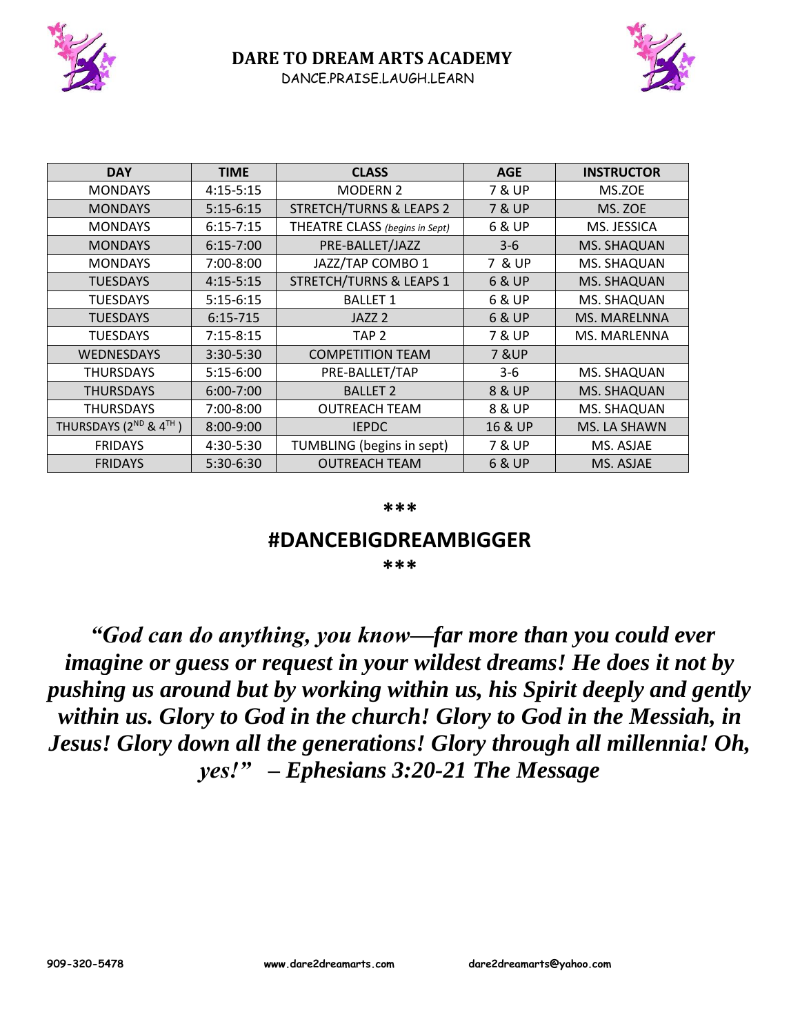



| <b>DAY</b>            | <b>TIME</b>   | <b>CLASS</b>                       | <b>AGE</b>        | <b>INSTRUCTOR</b> |
|-----------------------|---------------|------------------------------------|-------------------|-------------------|
| <b>MONDAYS</b>        | $4:15 - 5:15$ | <b>MODERN 2</b>                    | <b>7 &amp; UP</b> | MS.ZOE            |
| <b>MONDAYS</b>        | $5:15-6:15$   | <b>STRETCH/TURNS &amp; LEAPS 2</b> | 7 & UP            | MS. ZOE           |
| <b>MONDAYS</b>        | $6:15 - 7:15$ | THEATRE CLASS (begins in Sept)     | 6 & UP            | MS. JESSICA       |
| <b>MONDAYS</b>        | $6:15 - 7:00$ | PRE-BALLET/JAZZ                    | $3-6$             | MS. SHAQUAN       |
| <b>MONDAYS</b>        | 7:00-8:00     | JAZZ/TAP COMBO 1                   | 7 & UP            | MS. SHAQUAN       |
| <b>TUESDAYS</b>       | $4:15-5:15$   | <b>STRETCH/TURNS &amp; LEAPS 1</b> | 6 & UP            | MS. SHAQUAN       |
| <b>TUESDAYS</b>       | $5:15-6:15$   | <b>BALLET 1</b>                    | 6 & UP            | MS. SHAQUAN       |
| <b>TUESDAYS</b>       | $6:15 - 715$  | JAZZ <sub>2</sub>                  | 6 & UP            | MS. MARELNNA      |
| <b>TUESDAYS</b>       | $7:15 - 8:15$ | TAP <sub>2</sub>                   | 7 & UP            | MS. MARLENNA      |
| <b>WEDNESDAYS</b>     | 3:30-5:30     | <b>COMPETITION TEAM</b>            | <b>7 &amp; UP</b> |                   |
| <b>THURSDAYS</b>      | $5:15-6:00$   | PRE-BALLET/TAP                     | $3-6$             | MS. SHAQUAN       |
| <b>THURSDAYS</b>      | $6:00 - 7:00$ | <b>BALLET 2</b>                    | 8 & UP            | MS. SHAQUAN       |
| <b>THURSDAYS</b>      | 7:00-8:00     | <b>OUTREACH TEAM</b>               | 8 & UP            | MS. SHAQUAN       |
| THURSDAYS (2ND & 4TH) | $8:00 - 9:00$ | <b>IEPDC</b>                       | 16 & UP           | MS. LA SHAWN      |
| <b>FRIDAYS</b>        | 4:30-5:30     | TUMBLING (begins in sept)          | <b>7 &amp; UP</b> | MS. ASJAE         |
| <b>FRIDAYS</b>        | 5:30-6:30     | <b>OUTREACH TEAM</b>               | 6 & UP            | MS. ASJAE         |

#### **\*\*\***

## **#DANCEBIGDREAMBIGGER**

**\*\*\***

*"God can do anything, you know—far more than you could ever imagine or guess or request in your wildest dreams! He does it not by pushing us around but by working within us, his Spirit deeply and gently within us. Glory to God in the church! Glory to God in the Messiah, in Jesus! Glory down all the generations! Glory through all millennia! Oh, yes!" – Ephesians 3:20-21 The Message*